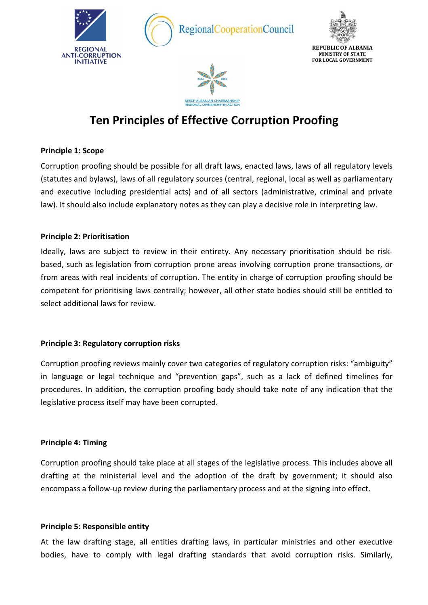

# **Ten Principles of Effective Corruption Proofing**

# **Principle 1: Scope**

Corruption proofing should be possible for all draft laws, enacted laws, laws of all regulatory levels (statutes and bylaws), laws of all regulatory sources (central, regional, local as well as parliamentary and executive including presidential acts) and of all sectors (administrative, criminal and private law). It should also include explanatory notes as they can play a decisive role in interpreting law.

# **Principle 2: Prioritisation**

Ideally, laws are subject to review in their entirety. Any necessary prioritisation should be riskbased, such as legislation from corruption prone areas involving corruption prone transactions, or from areas with real incidents of corruption. The entity in charge of corruption proofing should be competent for prioritising laws centrally; however, all other state bodies should still be entitled to select additional laws for review.

# **Principle 3: Regulatory corruption risks**

Corruption proofing reviews mainly cover two categories of regulatory corruption risks: "ambiguity" in language or legal technique and "prevention gaps", such as a lack of defined timelines for procedures. In addition, the corruption proofing body should take note of any indication that the legislative process itself may have been corrupted.

# **Principle 4: Timing**

Corruption proofing should take place at all stages of the legislative process. This includes above all drafting at the ministerial level and the adoption of the draft by government; it should also encompass a follow-up review during the parliamentary process and at the signing into effect.

# **Principle 5: Responsible entity**

At the law drafting stage, all entities drafting laws, in particular ministries and other executive bodies, have to comply with legal drafting standards that avoid corruption risks. Similarly,